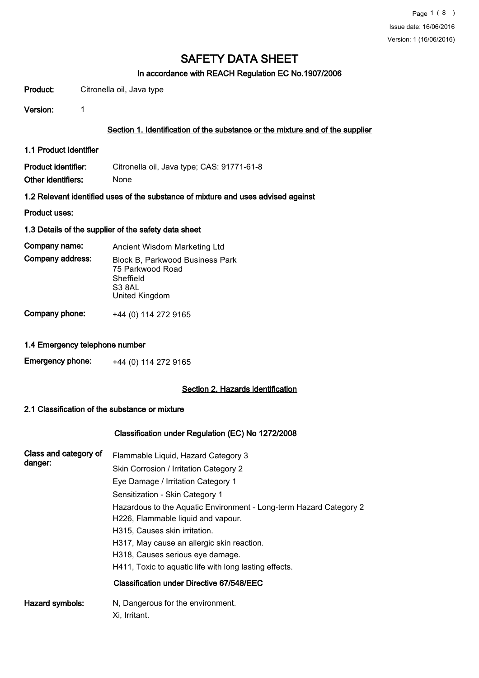## In accordance with REACH Regulation EC No.1907/2006

Product: Citronella oil, Java type

Version: 1

## Section 1. Identification of the substance or the mixture and of the supplier

1.1 Product Identifier

Product identifier: Citronella oil, Java type; CAS: 91771-61-8 Other identifiers: None

1.2 Relevant identified uses of the substance of mixture and uses advised against

Product uses:

#### 1.3 Details of the supplier of the safety data sheet

Company name: Ancient Wisdom Marketing Ltd Block B, Parkwood Business Park 75 Parkwood Road S3 8AL United Kingdom Sheffield Company address:

Company phone: +44 (0) 114 272 9165

## 1.4 Emergency telephone number

| <b>Emergency phone:</b> | +44 (0) 114 272 9165 |
|-------------------------|----------------------|
|-------------------------|----------------------|

#### Section 2. Hazards identification

#### 2.1 Classification of the substance or mixture

#### Classification under Regulation (EC) No 1272/2008

| Class and category of<br>danger: | Flammable Liquid, Hazard Category 3<br>Skin Corrosion / Irritation Category 2<br>Eye Damage / Irritation Category 1<br>Sensitization - Skin Category 1 |
|----------------------------------|--------------------------------------------------------------------------------------------------------------------------------------------------------|
|                                  | Hazardous to the Aquatic Environment - Long-term Hazard Category 2<br>H226, Flammable liquid and vapour.<br>H315, Causes skin irritation.              |
|                                  | H317, May cause an allergic skin reaction.<br>H318, Causes serious eye damage.                                                                         |
|                                  | H411, Toxic to aquatic life with long lasting effects.<br>Classification under Directive 67/548/EEC                                                    |
| Hazard symbols:                  | N, Dangerous for the environment.<br>Xi, Irritant.                                                                                                     |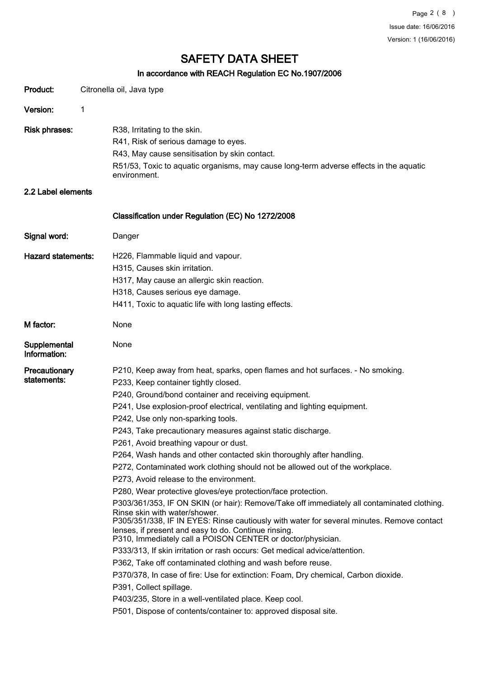## In accordance with REACH Regulation EC No.1907/2006

|                              | III accordance with REACH Regulation EC NO. 1907/2000                                                                                                                                                            |  |
|------------------------------|------------------------------------------------------------------------------------------------------------------------------------------------------------------------------------------------------------------|--|
| Product:                     | Citronella oil, Java type                                                                                                                                                                                        |  |
| Version:                     | 1                                                                                                                                                                                                                |  |
| <b>Risk phrases:</b>         | R38, Irritating to the skin.                                                                                                                                                                                     |  |
|                              | R41, Risk of serious damage to eyes.                                                                                                                                                                             |  |
|                              |                                                                                                                                                                                                                  |  |
|                              | R43, May cause sensitisation by skin contact.                                                                                                                                                                    |  |
|                              | R51/53, Toxic to aquatic organisms, may cause long-term adverse effects in the aquatic<br>environment.                                                                                                           |  |
| 2.2 Label elements           |                                                                                                                                                                                                                  |  |
|                              | Classification under Regulation (EC) No 1272/2008                                                                                                                                                                |  |
| Signal word:                 | Danger                                                                                                                                                                                                           |  |
| <b>Hazard statements:</b>    | H226, Flammable liquid and vapour.                                                                                                                                                                               |  |
|                              | H315, Causes skin irritation.                                                                                                                                                                                    |  |
|                              | H317, May cause an allergic skin reaction.                                                                                                                                                                       |  |
|                              | H318, Causes serious eye damage.                                                                                                                                                                                 |  |
|                              | H411, Toxic to aquatic life with long lasting effects.                                                                                                                                                           |  |
| M factor:                    | None                                                                                                                                                                                                             |  |
|                              |                                                                                                                                                                                                                  |  |
| Supplemental<br>Information: | None                                                                                                                                                                                                             |  |
| Precautionary                | P210, Keep away from heat, sparks, open flames and hot surfaces. - No smoking.                                                                                                                                   |  |
| statements:                  | P233, Keep container tightly closed.                                                                                                                                                                             |  |
|                              | P240, Ground/bond container and receiving equipment.                                                                                                                                                             |  |
|                              | P241, Use explosion-proof electrical, ventilating and lighting equipment.                                                                                                                                        |  |
|                              | P242, Use only non-sparking tools.                                                                                                                                                                               |  |
|                              | P243, Take precautionary measures against static discharge.                                                                                                                                                      |  |
|                              | P261, Avoid breathing vapour or dust.                                                                                                                                                                            |  |
|                              | P264, Wash hands and other contacted skin thoroughly after handling.                                                                                                                                             |  |
|                              | P272, Contaminated work clothing should not be allowed out of the workplace.                                                                                                                                     |  |
|                              | P273, Avoid release to the environment.                                                                                                                                                                          |  |
|                              | P280, Wear protective gloves/eye protection/face protection.                                                                                                                                                     |  |
|                              | P303/361/353, IF ON SKIN (or hair): Remove/Take off immediately all contaminated clothing.<br>Rinse skin with water/shower.                                                                                      |  |
|                              | P305/351/338, IF IN EYES: Rinse cautiously with water for several minutes. Remove contact<br>lenses, if present and easy to do. Continue rinsing.<br>P310, Immediately call a POISON CENTER or doctor/physician. |  |
|                              | P333/313, If skin irritation or rash occurs: Get medical advice/attention.                                                                                                                                       |  |
|                              | P362, Take off contaminated clothing and wash before reuse.                                                                                                                                                      |  |
|                              | P370/378, In case of fire: Use for extinction: Foam, Dry chemical, Carbon dioxide.                                                                                                                               |  |
|                              | P391, Collect spillage.                                                                                                                                                                                          |  |
|                              | P403/235, Store in a well-ventilated place. Keep cool.                                                                                                                                                           |  |
|                              | P501, Dispose of contents/container to: approved disposal site.                                                                                                                                                  |  |
|                              |                                                                                                                                                                                                                  |  |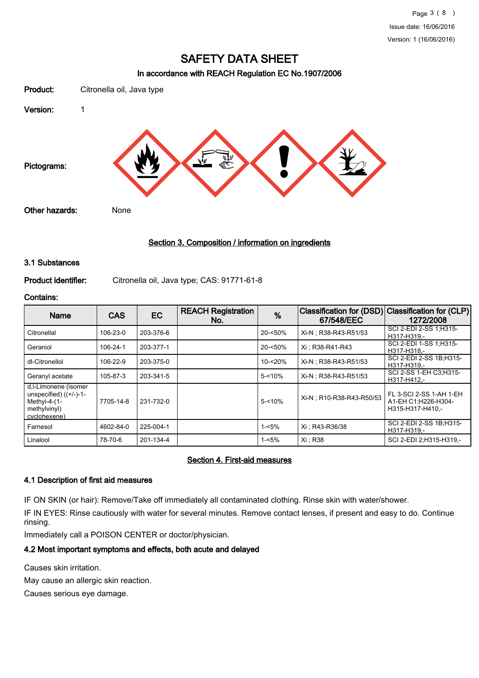### In accordance with REACH Regulation EC No.1907/2006



## Section 3. Composition / information on ingredients

#### 3.1 Substances

Product identifier: Citronella oil, Java type; CAS: 91771-61-8

#### Contains:

| <b>Name</b>                                                                                         | <b>CAS</b> | EC        | <b>REACH Registration</b><br>No. | %         | <b>Classification for (DSD)</b><br>67/548/EEC | Classification for (CLP)<br>1272/2008                              |
|-----------------------------------------------------------------------------------------------------|------------|-----------|----------------------------------|-----------|-----------------------------------------------|--------------------------------------------------------------------|
| Citronellal                                                                                         | 106-23-0   | 203-376-6 |                                  | 20-<50%   | Xi-N: R38-R43-R51/53                          | SCI 2-EDI 2-SS 1:H315-<br>H317-H319.-                              |
| Geraniol                                                                                            | 106-24-1   | 203-377-1 |                                  | 20-<50%   | Xi: R38-R41-R43                               | SCI 2-EDI 1-SS 1:H315-<br>H317-H318 .-                             |
| dl-Citronellol                                                                                      | 106-22-9   | 203-375-0 |                                  | 10-<20%   | Xi-N: R38-R43-R51/53                          | SCI 2-EDI 2-SS 1B:H315-<br>H317-H319.-                             |
| Geranyl acetate                                                                                     | 105-87-3   | 203-341-5 |                                  | $5 - 10%$ | Xi-N : R38-R43-R51/53                         | SCI 2-SS 1-EH C3:H315-<br>H317-H412.-                              |
| d,I-Limonene (isomer<br>unspecified) $((+/-)-1-$<br>Methyl-4- $(1-$<br>methylvinyl)<br>cyclohexene) | 7705-14-8  | 231-732-0 |                                  | $5 - 10%$ | Xi-N ; R10-R38-R43-R50/53                     | FL 3-SCI 2-SS 1-AH 1-EH<br>A1-EH C1;H226-H304-<br>H315-H317-H410.- |
| Farnesol                                                                                            | 4602-84-0  | 225-004-1 |                                  | $1 - 5%$  | Xi: R43-R36/38                                | SCI 2-EDI 2-SS 1B:H315-<br>H317-H319,-                             |
| Linalool                                                                                            | 78-70-6    | 201-134-4 |                                  | $1 - 5%$  | Xi : R38                                      | SCI 2-EDI 2:H315-H319.-                                            |

#### Section 4. First-aid measures

#### 4.1 Description of first aid measures

IF ON SKIN (or hair): Remove/Take off immediately all contaminated clothing. Rinse skin with water/shower. IF IN EYES: Rinse cautiously with water for several minutes. Remove contact lenses, if present and easy to do. Continue rinsing.

Immediately call a POISON CENTER or doctor/physician.

## 4.2 Most important symptoms and effects, both acute and delayed

Causes skin irritation.

May cause an allergic skin reaction.

Causes serious eye damage.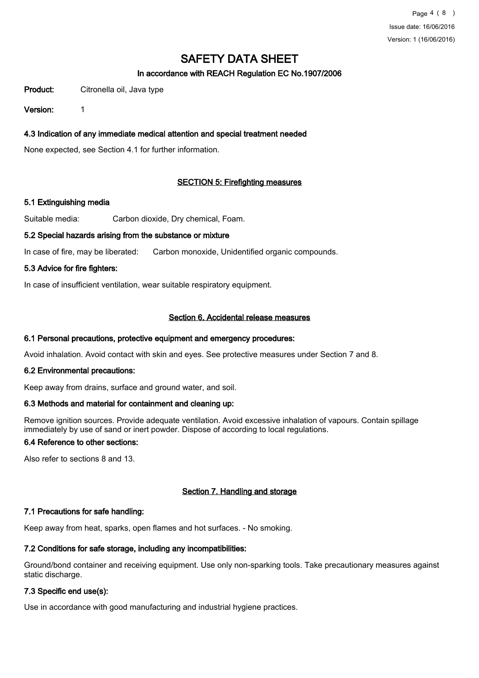## In accordance with REACH Regulation EC No.1907/2006

Product: Citronella oil, Java type

Version: 1

## 4.3 Indication of any immediate medical attention and special treatment needed

None expected, see Section 4.1 for further information.

## SECTION 5: Firefighting measures

## 5.1 Extinguishing media

Suitable media: Carbon dioxide, Dry chemical, Foam.

## 5.2 Special hazards arising from the substance or mixture

In case of fire, may be liberated: Carbon monoxide, Unidentified organic compounds.

## 5.3 Advice for fire fighters:

In case of insufficient ventilation, wear suitable respiratory equipment.

## Section 6. Accidental release measures

## 6.1 Personal precautions, protective equipment and emergency procedures:

Avoid inhalation. Avoid contact with skin and eyes. See protective measures under Section 7 and 8.

## 6.2 Environmental precautions:

Keep away from drains, surface and ground water, and soil.

## 6.3 Methods and material for containment and cleaning up:

Remove ignition sources. Provide adequate ventilation. Avoid excessive inhalation of vapours. Contain spillage immediately by use of sand or inert powder. Dispose of according to local regulations.

## 6.4 Reference to other sections:

Also refer to sections 8 and 13.

## Section 7. Handling and storage

## 7.1 Precautions for safe handling:

Keep away from heat, sparks, open flames and hot surfaces. - No smoking.

## 7.2 Conditions for safe storage, including any incompatibilities:

Ground/bond container and receiving equipment. Use only non-sparking tools. Take precautionary measures against static discharge.

## 7.3 Specific end use(s):

Use in accordance with good manufacturing and industrial hygiene practices.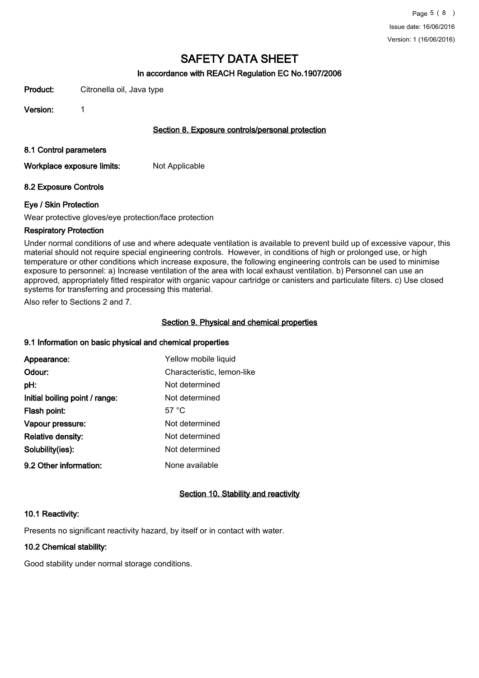### In accordance with REACH Regulation EC No.1907/2006

Product: Citronella oil, Java type

Version: 1

#### Section 8. Exposure controls/personal protection

#### 8.1 Control parameters

Workplace exposure limits: Not Applicable

#### 8.2 Exposure Controls

#### Eye / Skin Protection

Wear protective gloves/eye protection/face protection

#### Respiratory Protection

Under normal conditions of use and where adequate ventilation is available to prevent build up of excessive vapour, this material should not require special engineering controls. However, in conditions of high or prolonged use, or high temperature or other conditions which increase exposure, the following engineering controls can be used to minimise exposure to personnel: a) Increase ventilation of the area with local exhaust ventilation. b) Personnel can use an approved, appropriately fitted respirator with organic vapour cartridge or canisters and particulate filters. c) Use closed systems for transferring and processing this material.

Also refer to Sections 2 and 7.

## Section 9. Physical and chemical properties

#### 9.1 Information on basic physical and chemical properties

| Appearance:                    | Yellow mobile liquid       |
|--------------------------------|----------------------------|
| Odour:                         | Characteristic, lemon-like |
| pH:                            | Not determined             |
| Initial boiling point / range: | Not determined             |
| Flash point:                   | 57 $\degree$ C             |
| Vapour pressure:               | Not determined             |
| <b>Relative density:</b>       | Not determined             |
| Solubility(ies):               | Not determined             |
| 9.2 Other information:         | None available             |

## Section 10. Stability and reactivity

#### 10.1 Reactivity:

Presents no significant reactivity hazard, by itself or in contact with water.

## 10.2 Chemical stability:

Good stability under normal storage conditions.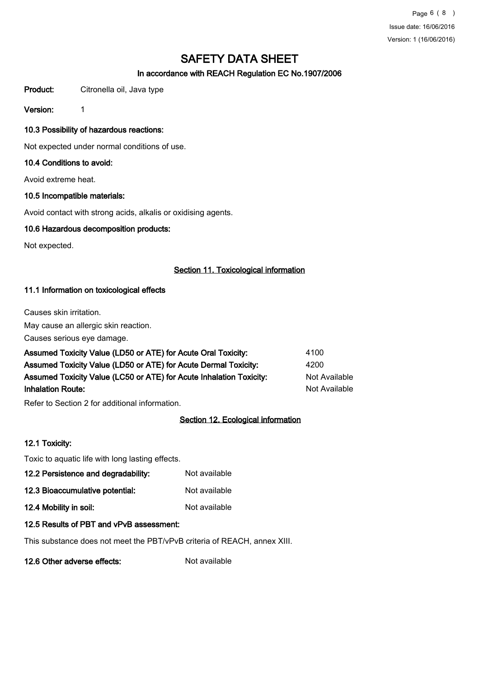Page 6 ( 8 ) Issue date: 16/06/2016 Version: 1 (16/06/2016)

# SAFETY DATA SHEET

## In accordance with REACH Regulation EC No.1907/2006

Product: Citronella oil, Java type

Version: 1

## 10.3 Possibility of hazardous reactions:

Not expected under normal conditions of use.

## 10.4 Conditions to avoid:

Avoid extreme heat.

## 10.5 Incompatible materials:

Avoid contact with strong acids, alkalis or oxidising agents.

## 10.6 Hazardous decomposition products:

Not expected.

## Section 11. Toxicological information

## 11.1 Information on toxicological effects

Causes skin irritation.

May cause an allergic skin reaction.

Causes serious eye damage.

| Assumed Toxicity Value (LD50 or ATE) for Acute Oral Toxicity:       | 4100          |
|---------------------------------------------------------------------|---------------|
| Assumed Toxicity Value (LD50 or ATE) for Acute Dermal Toxicity:     | 4200          |
| Assumed Toxicity Value (LC50 or ATE) for Acute Inhalation Toxicity: | Not Available |
| <b>Inhalation Route:</b>                                            | Not Available |

Refer to Section 2 for additional information.

## Section 12. Ecological information

## 12.1 Toxicity:

Toxic to aquatic life with long lasting effects.

- 12.2 Persistence and degradability: Not available
- 12.3 Bioaccumulative potential: Not available
- 12.4 Mobility in soil: Not available

## 12.5 Results of PBT and vPvB assessment:

This substance does not meet the PBT/vPvB criteria of REACH, annex XIII.

12.6 Other adverse effects: Not available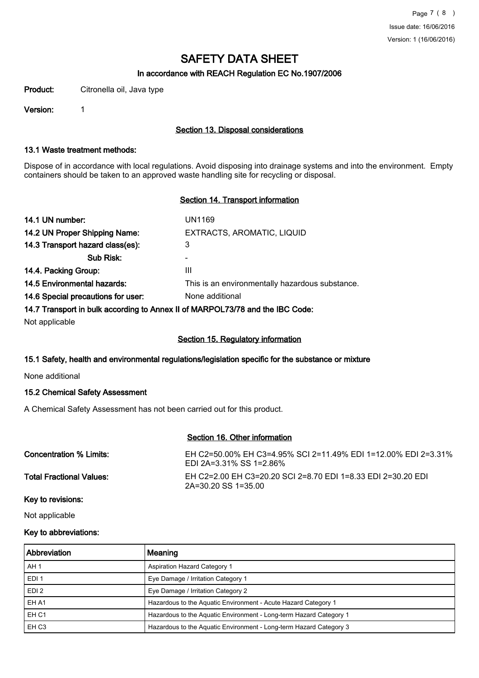## In accordance with REACH Regulation EC No.1907/2006

Product: Citronella oil, Java type

Version: 1

### Section 13. Disposal considerations

#### 13.1 Waste treatment methods:

Dispose of in accordance with local regulations. Avoid disposing into drainage systems and into the environment. Empty containers should be taken to an approved waste handling site for recycling or disposal.

## Section 14. Transport information

| 14.1 UN number:                                                                | UN1169                                          |  |
|--------------------------------------------------------------------------------|-------------------------------------------------|--|
| 14.2 UN Proper Shipping Name:                                                  | EXTRACTS, AROMATIC, LIQUID                      |  |
| 14.3 Transport hazard class(es):                                               | 3                                               |  |
| Sub Risk:                                                                      | -                                               |  |
| 14.4. Packing Group:                                                           | Ш                                               |  |
| 14.5 Environmental hazards:                                                    | This is an environmentally hazardous substance. |  |
| 14.6 Special precautions for user:                                             | None additional                                 |  |
| 14.7 Transport in bulk according to Annex II of MARPOL 73/78 and the IBC Code: |                                                 |  |

14.7 Transport in bulk according to Annex II of MARPOL73/78 and the IBC Code:

Not applicable

## Section 15. Regulatory information

## 15.1 Safety, health and environmental regulations/legislation specific for the substance or mixture

None additional

## 15.2 Chemical Safety Assessment

A Chemical Safety Assessment has not been carried out for this product.

## Section 16. Other information

| Concentration % Limits:         | EH C2=50.00% EH C3=4.95% SCI 2=11.49% EDI 1=12.00% EDI 2=3.31%<br>EDI 2A=3.31% SS 1=2.86% |
|---------------------------------|-------------------------------------------------------------------------------------------|
| <b>Total Fractional Values:</b> | EH C2=2.00 EH C3=20.20 SCI 2=8.70 EDI 1=8.33 EDI 2=30.20 EDI<br>2A=30.20 SS 1=35.00       |
| <i>Marita andalanan</i>         |                                                                                           |

Key to revisions:

Not applicable

#### Key to abbreviations:

| Abbreviation     | Meaning                                                            |
|------------------|--------------------------------------------------------------------|
| AH 1             | <b>Aspiration Hazard Category 1</b>                                |
| EDI <sub>1</sub> | Eye Damage / Irritation Category 1                                 |
| EDI <sub>2</sub> | Eye Damage / Irritation Category 2                                 |
| EH A1            | Hazardous to the Aquatic Environment - Acute Hazard Category 1     |
| EH <sub>C1</sub> | Hazardous to the Aquatic Environment - Long-term Hazard Category 1 |
| EH <sub>C3</sub> | Hazardous to the Aquatic Environment - Long-term Hazard Category 3 |